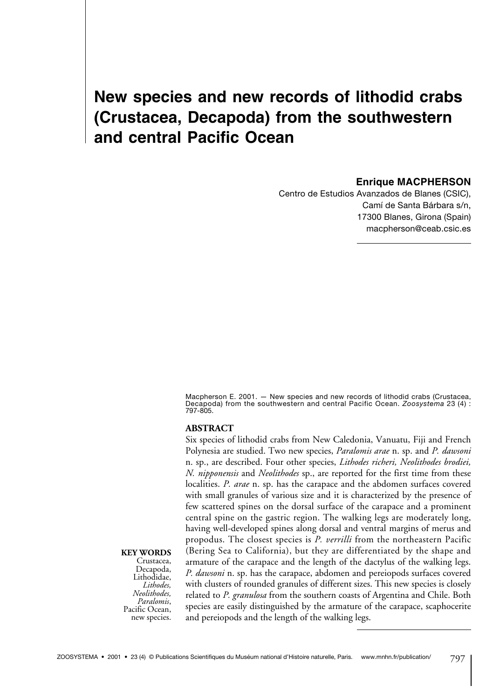# **New species and new records of lithodid crabs (Crustacea, Decapoda) from the southwestern and central Pacific Ocean**

#### **Enrique MACPHERSON**

Centro de Estudios Avanzados de Blanes (CSIC), Camí de Santa Bárbara s/n, 17300 Blanes, Girona (Spain) macpherson@ceab.csic.es

Macpherson E. 2001. — New species and new records of lithodid crabs (Crustacea, Decapoda) from the southwestern and central Pacific Ocean. *Zoosystema* 23 (4) : 797-805.

#### **ABSTRACT**

Six species of lithodid crabs from New Caledonia, Vanuatu, Fiji and French Polynesia are studied. Two new species, *Paralomis arae* n. sp. and *P. dawsoni* n. sp., are described. Four other species, *Lithodes richeri, Neolithodes brodiei, N. nipponensis* and *Neolithodes* sp., are reported for the first time from these localities. *P. arae* n. sp. has the carapace and the abdomen surfaces covered with small granules of various size and it is characterized by the presence of few scattered spines on the dorsal surface of the carapace and a prominent central spine on the gastric region. The walking legs are moderately long, having well-developed spines along dorsal and ventral margins of merus and propodus. The closest species is *P. verrilli* from the northeastern Pacific (Bering Sea to California), but they are differentiated by the shape and armature of the carapace and the length of the dactylus of the walking legs. *P. dawsoni* n. sp. has the carapace, abdomen and pereiopods surfaces covered with clusters of rounded granules of different sizes. This new species is closely related to *P. granulosa* from the southern coasts of Argentina and Chile. Both species are easily distinguished by the armature of the carapace, scaphocerite and pereiopods and the length of the walking legs.

#### **KEY WORDS**

Crustacea, Decapoda, Lithodidae, *Lithodes, Neolithodes,*  Pacific Ocean, new species.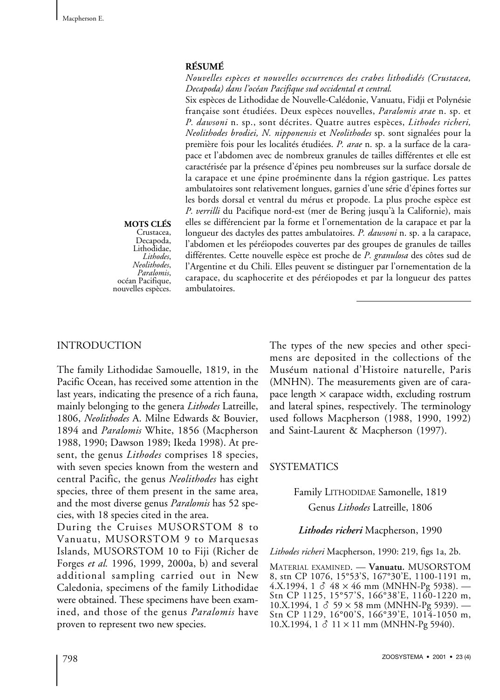## **RÉSUMÉ**

*Nouvelles espèces et nouvelles occurrences des crabes lithodidés (Crustacea, Decapoda) dans l'océan Pacifique sud occidental et central.*

Six espèces de Lithodidae de Nouvelle-Calédonie, Vanuatu, Fidji et Polynésie française sont étudiées. Deux espèces nouvelles, *Paralomis arae* n. sp. et *P. dawsoni* n. sp., sont décrites. Quatre autres espèces, *Lithodes richeri, Neolithodes brodiei, N. nipponensis* et *Neolithodes* sp. sont signalées pour la première fois pour les localités étudiées. *P. arae* n. sp. a la surface de la carapace et l'abdomen avec de nombreux granules de tailles différentes et elle est caractérisée par la présence d'épines peu nombreuses sur la surface dorsale de la carapace et une épine proéminente dans la région gastrique. Les pattes ambulatoires sont relativement longues, garnies d'une série d'épines fortes sur les bords dorsal et ventral du mérus et propode. La plus proche espèce est *P. verrilli* du Pacifique nord-est (mer de Bering jusqu'à la Californie), mais elles se différencient par la forme et l'ornementation de la carapace et par la longueur des dactyles des pattes ambulatoires. *P. dawsoni* n. sp. a la carapace, l'abdomen et les péréiopodes couvertes par des groupes de granules de tailles différentes. Cette nouvelle espèce est proche de *P. granulosa* des côtes sud de l'Argentine et du Chili. Elles peuvent se distinguer par l'ornementation de la carapace, du scaphocerite et des péréiopodes et par la longueur des pattes ambulatoires.

# **MOTS CLÉS**

Crustacea, Decapoda, Lithodidae,<br>Lithodes, *Lithodes*, *Neolithodes*, *Paralomis*, océan Pacifique, nouvelles espèces.

# INTRODUCTION

The family Lithodidae Samouelle, 1819, in the Pacific Ocean, has received some attention in the last years, indicating the presence of a rich fauna, mainly belonging to the genera *Lithodes* Latreille, 1806, *Neolithodes* A. Milne Edwards & Bouvier, 1894 and *Paralomis* White, 1856 (Macpherson 1988, 1990; Dawson 1989; Ikeda 1998). At present, the genus *Lithodes* comprises 18 species, with seven species known from the western and central Pacific, the genus *Neolithodes* has eight species, three of them present in the same area, and the most diverse genus *Paralomis* has 52 species, with 18 species cited in the area.

During the Cruises MUSORSTOM 8 to Vanuatu, MUSORSTOM 9 to Marquesas Islands, MUSORSTOM 10 to Fiji (Richer de Forges *et al.* 1996, 1999, 2000a, b) and several additional sampling carried out in New Caledonia, specimens of the family Lithodidae were obtained. These specimens have been examined, and those of the genus *Paralomis* have proven to represent two new species.

The types of the new species and other specimens are deposited in the collections of the Muséum national d'Histoire naturelle, Paris (MNHN). The measurements given are of carapace length  $\times$  carapace width, excluding rostrum and lateral spines, respectively. The terminology used follows Macpherson (1988, 1990, 1992) and Saint-Laurent & Macpherson (1997).

## **SYSTEMATICS**

# Family LITHODIDAE Samonelle, 1819 Genus *Lithodes* Latreille, 1806

## *Lithodes richeri* Macpherson, 1990

*Lithodes richeri* Macpherson, 1990: 219, figs 1a, 2b.

MATERIAL EXAMINED. — **Vanuatu.** MUSORSTOM 8, stn CP 1076, 15°53'S, 167°30'E, 1100-1191 m, 4.X.1994, 1  $\delta$  48 × 46 mm (MNHN-Pg 5938). -Stn CP 1125, 15°57'S, 166°38'E, 1160-1220 m, 10.X.1994, 1  $\delta$  59  $\times$  58 mm (MNHN-Pg 5939). — Stn CP 1129, 16°00'S, 166°39'E, 1014-1050 m, 10.X.1994,  $1 \delta$  11 × 11 mm (MNHN-Pg 5940).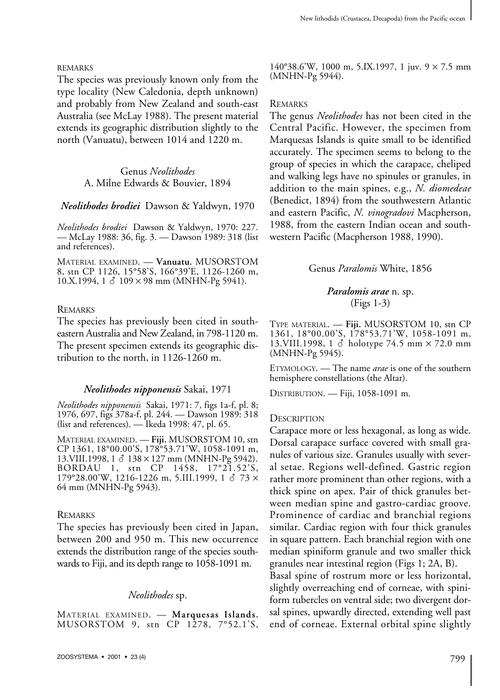#### REMARKS

The species was previously known only from the type locality (New Caledonia, depth unknown) and probably from New Zealand and south-east Australia (see McLay 1988). The present material extends its geographic distribution slightly to the north (Vanuatu), between 1014 and 1220 m.

> Genus *Neolithodes* A. Milne Edwards & Bouvier, 1894

*Neolithodes brodiei* Dawson & Yaldwyn, 1970

*Neolithodes brodiei* Dawson & Yaldwyn, 1970: 227. — McLay 1988: 36, fig. 3. — Dawson 1989: 318 (list and references).

MATERIAL EXAMINED. — **Vanuatu.** MUSORSTOM 8, stn CP 1126, 15°58'S, 166°39'E, 1126-1260 m, 10.X.1994, 1  $\delta$  109 × 98 mm (MNHN-Pg 5941).

#### REMARKS

The species has previously been cited in southeastern Australia and New Zealand, in 798-1120 m. The present specimen extends its geographic distribution to the north, in 1126-1260 m.

#### *Neolithodes nipponensis* Sakai, 1971

*Neolithodes nipponensis* Sakai, 1971: 7, figs 1a-f, pl. 8; 1976, 697, figs 378a-f, pl. 244. — Dawson 1989: 318 (list and references). — Ikeda 1998: 47, pl. 65.

MATERIAL EXAMINED. — **Fiji.** MUSORSTOM 10, stn CP 1361, 18°00.00'S, 178°53.71'W, 1058-1091 m, 13.VIII.1998,  $1 \delta$  138 × 127 mm (MNHN-Pg 5942). BORDAU 1, stn CP 1458, 17°21.52'S, 179°28.00'W, 1216-1226 m, 5.III.1999, 1  $\delta$  73  $\times$ 64 mm (MNHN-Pg 5943).

#### REMARKS

The species has previously been cited in Japan, between 200 and 950 m. This new occurrence extends the distribution range of the species southwards to Fiji, and its depth range to 1058-1091 m.

## *Neolithodes* sp.

MATERIAL EXAMINED. — **Marquesas Islands.** MUSORSTOM 9, stn CP 1278, 7°52.1'S, 140°38.6'W, 1000 m, 5.IX.1997, 1 juv. 9 × 7.5 mm (MNHN-Pg 5944).

#### REMARKS

The genus *Neolithodes* has not been cited in the Central Pacific. However, the specimen from Marquesas Islands is quite small to be identified accurately. The specimen seems to belong to the group of species in which the carapace, cheliped and walking legs have no spinules or granules, in addition to the main spines, e.g., *N. diomedeae* (Benedict, 1894) from the southwestern Atlantic and eastern Pacific, *N. vinogradovi* Macpherson, 1988, from the eastern Indian ocean and southwestern Pacific (Macpherson 1988, 1990).

## Genus *Paralomis* White, 1856

## *Paralomis arae* n. sp. (Figs 1-3)

TYPE MATERIAL. — **Fiji.** MUSORSTOM 10, stn CP 1361, 18°00.00'S, 178°53.71'W, 1058-1091 m, 13.VIII.1998, 1 & holotype 74.5 mm × 72.0 mm (MNHN-Pg 5945).

ETYMOLOGY. — The name *arae* is one of the southern hemisphere constellations (the Altar).

DISTRIBUTION. — Fiji, 1058-1091 m.

#### **DESCRIPTION**

Carapace more or less hexagonal, as long as wide. Dorsal carapace surface covered with small granules of various size. Granules usually with several setae. Regions well-defined. Gastric region rather more prominent than other regions, with a thick spine on apex. Pair of thick granules between median spine and gastro-cardiac groove. Prominence of cardiac and branchial regions similar. Cardiac region with four thick granules in square pattern. Each branchial region with one median spiniform granule and two smaller thick granules near intestinal region (Figs 1; 2A, B).

Basal spine of rostrum more or less horizontal, slightly overreaching end of corneae, with spiniform tubercles on ventral side; two divergent dorsal spines, upwardly directed, extending well past end of corneae. External orbital spine slightly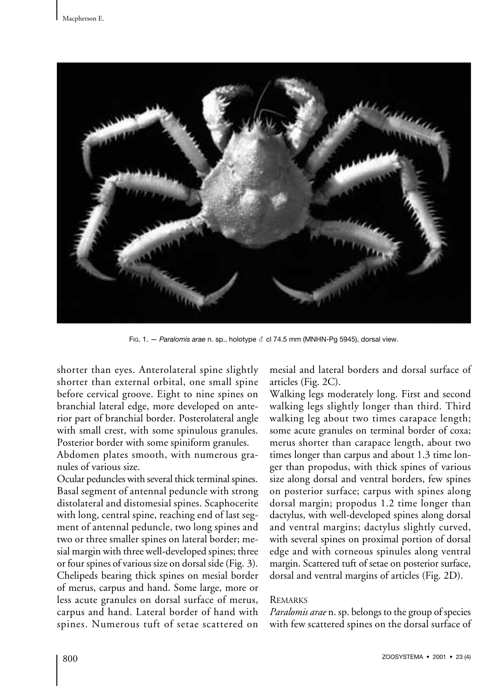

Fig. 1. - *Paralomis arae* n. sp., holotype  $\delta$  cl 74.5 mm (MNHN-Pg 5945), dorsal view.

shorter than eyes. Anterolateral spine slightly shorter than external orbital, one small spine before cervical groove. Eight to nine spines on branchial lateral edge, more developed on anterior part of branchial border. Posterolateral angle with small crest, with some spinulous granules. Posterior border with some spiniform granules.

Abdomen plates smooth, with numerous granules of various size.

Ocular peduncles with several thick terminal spines. Basal segment of antennal peduncle with strong distolateral and distomesial spines. Scaphocerite with long, central spine, reaching end of last segment of antennal peduncle, two long spines and two or three smaller spines on lateral border; mesial margin with three well-developed spines; three or four spines of various size on dorsal side (Fig.3). Chelipeds bearing thick spines on mesial border of merus, carpus and hand. Some large, more or less acute granules on dorsal surface of merus, carpus and hand. Lateral border of hand with spines. Numerous tuft of setae scattered on mesial and lateral borders and dorsal surface of articles (Fig. 2C).

Walking legs moderately long. First and second walking legs slightly longer than third. Third walking leg about two times carapace length; some acute granules on terminal border of coxa; merus shorter than carapace length, about two times longer than carpus and about 1.3 time longer than propodus, with thick spines of various size along dorsal and ventral borders, few spines on posterior surface; carpus with spines along dorsal margin; propodus 1.2 time longer than dactylus, with well-developed spines along dorsal and ventral margins; dactylus slightly curved, with several spines on proximal portion of dorsal edge and with corneous spinules along ventral margin. Scattered tuft of setae on posterior surface, dorsal and ventral margins of articles (Fig.2D).

## REMARKS

*Paralomis arae* n. sp. belongs to the group of species with few scattered spines on the dorsal surface of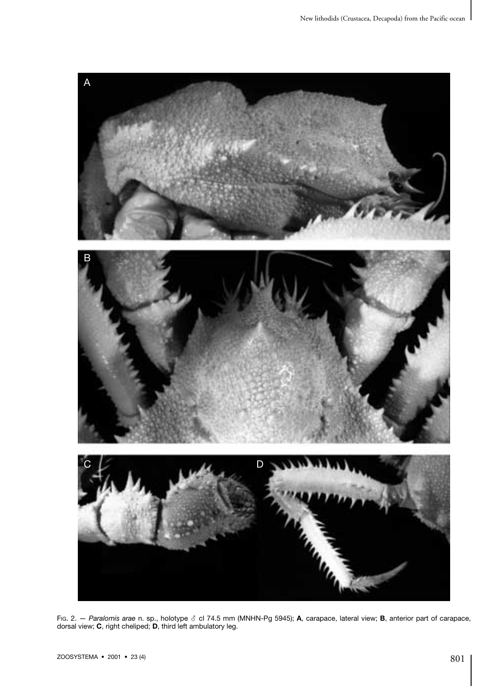

FiG. 2. *— Paralomis arae* n. sp., holotype ♂ cl 74.5 mm (MNHN-Pg 5945); **A**, carapace, lateral view; **B**, anterior part of carapace,<br>dorsal view; **C**, right cheliped; **D**, third left ambulatory leg.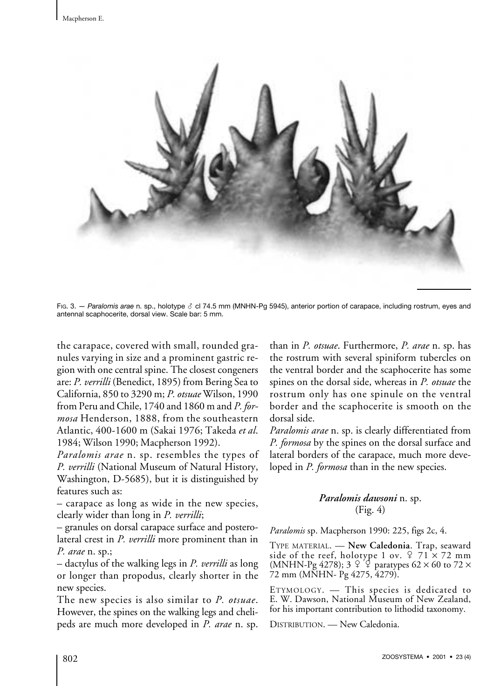

Fig. 3. - Paralomis arae n. sp., holotype  $\delta$  cl 74.5 mm (MNHN-Pg 5945), anterior portion of carapace, including rostrum, eyes and antennal scaphocerite, dorsal view. Scale bar: 5 mm.

the carapace, covered with small, rounded granules varying in size and a prominent gastric region with one central spine. The closest congeners are: *P. verrilli* (Benedict, 1895) from Bering Sea to California, 850 to 3290 m; *P. otsuae* Wilson, 1990 from Peru and Chile, 1740 and 1860 m and *P. formosa* Henderson, 1888, from the southeastern Atlantic, 400-1600 m (Sakai 1976; Takeda *et al*. 1984; Wilson 1990; Macpherson 1992).

*Paralomis arae* n. sp. resembles the types of *P. verrilli* (National Museum of Natural History, Washington, D-5685), but it is distinguished by features such as:

– carapace as long as wide in the new species, clearly wider than long in *P. verrilli*;

– granules on dorsal carapace surface and posterolateral crest in *P. verrilli* more prominent than in *P. arae* n.sp.;

– dactylus of the walking legs in *P. verrilli* as long or longer than propodus, clearly shorter in the new species.

The new species is also similar to *P. otsuae*. However, the spines on the walking legs and chelipeds are much more developed in *P. arae* n. sp. than in *P. otsuae*. Furthermore, *P. arae* n. sp. has the rostrum with several spiniform tubercles on the ventral border and the scaphocerite has some spines on the dorsal side, whereas in *P. otsuae* the rostrum only has one spinule on the ventral border and the scaphocerite is smooth on the dorsal side.

*Paralomis arae* n. sp. is clearly differentiated from *P. formosa* by the spines on the dorsal surface and lateral borders of the carapace, much more developed in *P. formosa* than in the new species.

# *Paralomis dawsoni* n. sp. (Fig. 4)

*Paralomis* sp. Macpherson 1990: 225, figs 2c, 4.

TYPE MATERIAL. — **New Caledonia**. Trap, seaward side of the reef, holotype 1 ov.  $\stackrel{\circ}{\sim}$  71  $\times$  72 mm (MNHN-Pg 4278);  $3 \begin{bmatrix} 2 \end{bmatrix}$  paratypes 62  $\times$  60 to 72  $\times$ 72 mm (MNHN- Pg 4275, 4279).

ETYMOLOGY. — This species is dedicated to E.W.Dawson, National Museum of New Zealand, for his important contribution to lithodid taxonomy.

DISTRIBUTION. — New Caledonia.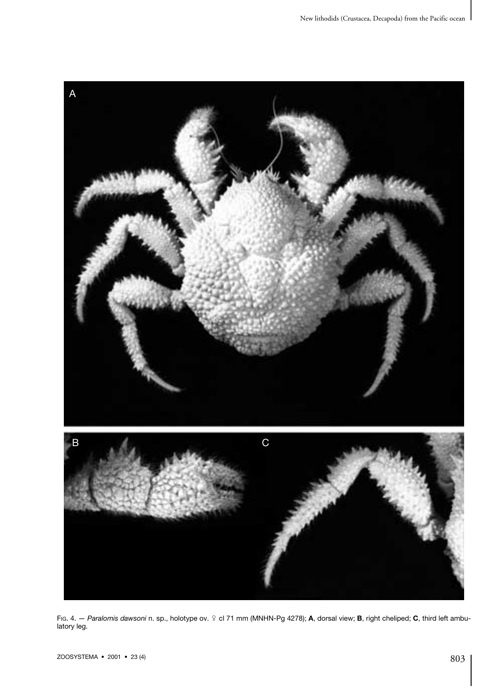

Fig. 4. — Paralomis dawsoni n. sp., holotype ov. ♀ cl 71 mm (MNHN-Pg 4278); A, dorsal view; B, right cheliped; C, third left ambulatory leg.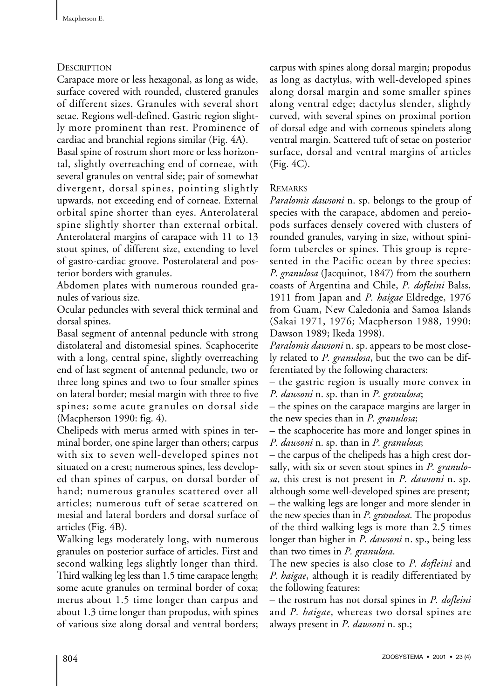# **DESCRIPTION**

Carapace more or less hexagonal, as long as wide, surface covered with rounded, clustered granules of different sizes. Granules with several short setae. Regions well-defined. Gastric region slightly more prominent than rest. Prominence of cardiac and branchial regions similar (Fig. 4A).

Basal spine of rostrum short more or less horizontal, slightly overreaching end of corneae, with several granules on ventral side; pair of somewhat divergent, dorsal spines, pointing slightly upwards, not exceeding end of corneae. External orbital spine shorter than eyes. Anterolateral spine slightly shorter than external orbital. Anterolateral margins of carapace with 11 to 13 stout spines, of different size, extending to level of gastro-cardiac groove. Posterolateral and posterior borders with granules.

Abdomen plates with numerous rounded granules of various size.

Ocular peduncles with several thick terminal and dorsal spines.

Basal segment of antennal peduncle with strong distolateral and distomesial spines. Scaphocerite with a long, central spine, slightly overreaching end of last segment of antennal peduncle, two or three long spines and two to four smaller spines on lateral border; mesial margin with three to five spines; some acute granules on dorsal side (Macpherson 1990: fig. 4).

Chelipeds with merus armed with spines in terminal border, one spine larger than others; carpus with six to seven well-developed spines not situated on a crest; numerous spines, less developed than spines of carpus, on dorsal border of hand; numerous granules scattered over all articles; numerous tuft of setae scattered on mesial and lateral borders and dorsal surface of articles (Fig. 4B).

Walking legs moderately long, with numerous granules on posterior surface of articles. First and second walking legs slightly longer than third. Third walking leg less than 1.5 time carapace length; some acute granules on terminal border of coxa; merus about 1.5 time longer than carpus and about 1.3 time longer than propodus, with spines of various size along dorsal and ventral borders;

carpus with spines along dorsal margin; propodus as long as dactylus, with well-developed spines along dorsal margin and some smaller spines along ventral edge; dactylus slender, slightly curved, with several spines on proximal portion of dorsal edge and with corneous spinelets along ventral margin. Scattered tuft of setae on posterior surface, dorsal and ventral margins of articles (Fig. 4C).

# **REMARKS**

*Paralomis dawsoni* n.sp. belongs to the group of species with the carapace, abdomen and pereiopods surfaces densely covered with clusters of rounded granules, varying in size, without spiniform tubercles or spines. This group is represented in the Pacific ocean by three species: *P. granulosa* (Jacquinot, 1847) from the southern coasts of Argentina and Chile, *P. dofleini* Balss, 1911 from Japan and *P. haigae* Eldredge, 1976 from Guam, New Caledonia and Samoa Islands (Sakai 1971, 1976; Macpherson 1988, 1990; Dawson 1989; Ikeda 1998).

*Paralomis dawsoni* n. sp. appears to be most closely related to *P. granulosa*, but the two can be differentiated by the following characters:

– the gastric region is usually more convex in *P. dawsoni* n.sp. than in *P. granulosa*;

– the spines on the carapace margins are larger in the new species than in *P. granulosa*;

– the scaphocerite has more and longer spines in *P. dawsoni* n.sp. than in *P. granulosa*;

– the carpus of the chelipeds has a high crest dorsally, with six or seven stout spines in *P. granulosa*, this crest is not present in *P. dawsoni* n.sp. although some well-developed spines are present; – the walking legs are longer and more slender in the new species than in *P. granulosa*. The propodus of the third walking legs is more than 2.5 times longer than higher in *P. dawsoni* n. sp., being less than two times in *P. granulosa*.

The new species is also close to *P. dofleini* and *P. haigae*, although it is readily differentiated by the following features:

– the rostrum has not dorsal spines in *P. dofleini* and *P. haigae*, whereas two dorsal spines are always present in *P. dawsoni* n.sp.;